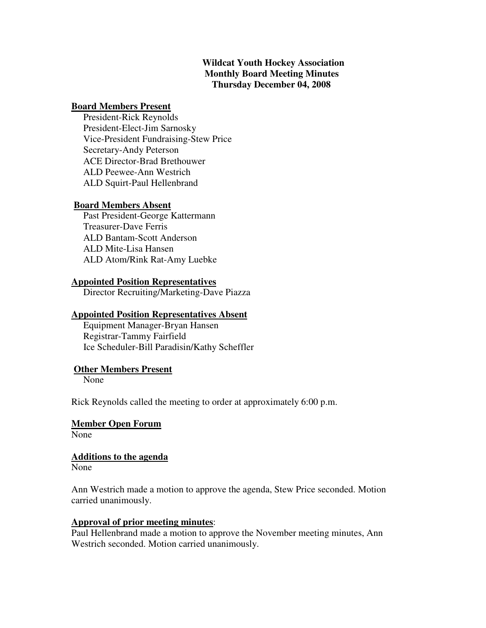### **Wildcat Youth Hockey Association Monthly Board Meeting Minutes Thursday December 04, 2008**

#### **Board Members Present**

 President-Rick Reynolds President-Elect-Jim Sarnosky Vice-President Fundraising-Stew Price Secretary-Andy Peterson ACE Director-Brad Brethouwer ALD Peewee-Ann Westrich ALD Squirt-Paul Hellenbrand

#### **Board Members Absent**

 Past President-George Kattermann Treasurer-Dave Ferris ALD Bantam-Scott Anderson ALD Mite-Lisa Hansen ALD Atom/Rink Rat-Amy Luebke

#### **Appointed Position Representatives**

Director Recruiting/Marketing-Dave Piazza

#### **Appointed Position Representatives Absent**

 Equipment Manager-Bryan Hansen Registrar-Tammy Fairfield Ice Scheduler-Bill Paradisin/Kathy Scheffler

#### **Other Members Present**

None

Rick Reynolds called the meeting to order at approximately 6:00 p.m.

#### **Member Open Forum**

None

#### **Additions to the agenda**

None

Ann Westrich made a motion to approve the agenda, Stew Price seconded. Motion carried unanimously.

#### **Approval of prior meeting minutes**:

Paul Hellenbrand made a motion to approve the November meeting minutes, Ann Westrich seconded. Motion carried unanimously.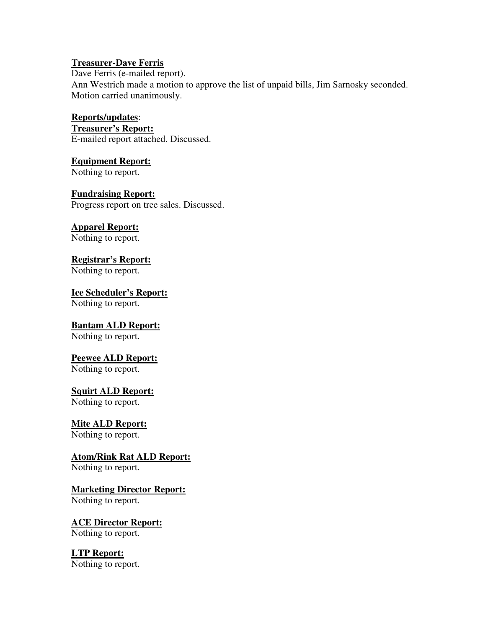#### **Treasurer-Dave Ferris**

Dave Ferris (e-mailed report). Ann Westrich made a motion to approve the list of unpaid bills, Jim Sarnosky seconded. Motion carried unanimously.

## **Reports/updates**:

**Treasurer's Report:** E-mailed report attached. Discussed.

### **Equipment Report:**

Nothing to report.

## **Fundraising Report:**

Progress report on tree sales. Discussed.

# **Apparel Report:**

Nothing to report.

## **Registrar's Report:**

Nothing to report.

#### **Ice Scheduler's Report:** Nothing to report.

## **Bantam ALD Report:**

Nothing to report.

## **Peewee ALD Report:**

Nothing to report.

## **Squirt ALD Report:**

Nothing to report.

## **Mite ALD Report:**

Nothing to report.

## **Atom/Rink Rat ALD Report:**

Nothing to report.

## **Marketing Director Report:**

Nothing to report.

## **ACE Director Report:**

Nothing to report.

## **LTP Report:**

Nothing to report.